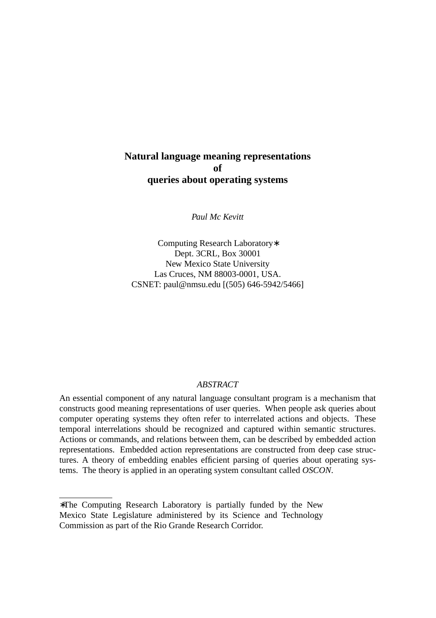# **Natural language meaning representations of queries about operating systems**

*Paul Mc Kevitt*

Computing Research Laboratory∗ Dept. 3CRL, Box 30001 New Mexico State University Las Cruces, NM 88003-0001, USA. CSNET: paul@nmsu.edu [(505) 646-5942/5466]

## *ABSTRACT*

An essential component of any natural language consultant program is a mechanism that constructs good meaning representations of user queries. When people ask queries about computer operating systems they often refer to interrelated actions and objects. These temporal interrelations should be recognized and captured within semantic structures. Actions or commands, and relations between them, can be described by embedded action representations. Embedded action representations are constructed from deep case structures. A theory of embedding enables efficient parsing of queries about operating systems. The theory is applied in an operating system consultant called *OSCON*.

<sup>∗</sup>The Computing Research Laboratory is partially funded by the New Mexico State Legislature administered by its Science and Technology Commission as part of the Rio Grande Research Corridor.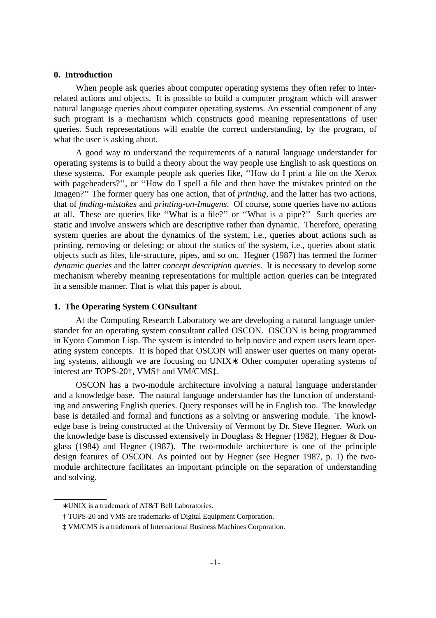### **0. Introduction**

When people ask queries about computer operating systems they often refer to interrelated actions and objects. It is possible to build a computer program which will answer natural language queries about computer operating systems. An essential component of any such program is a mechanism which constructs good meaning representations of user queries. Such representations will enable the correct understanding, by the program, of what the user is asking about.

A good way to understand the requirements of a natural language understander for operating systems is to build a theory about the way people use English to ask questions on these systems. For example people ask queries like, ''How do I print a file on the Xerox with pageheaders?'', or ''How do I spell a file and then have the mistakes printed on the Imagen?'' The former query has one action, that of *printing*, and the latter has two actions, that of *finding-mistakes* and *printing-on-Imagens*. Of course, some queries have no actions at all. These are queries like ''What is a file?'' or ''What is a pipe?'' Such queries are static and involve answers which are descriptive rather than dynamic. Therefore, operating system queries are about the dynamics of the system, i.e., queries about actions such as printing, removing or deleting; or about the statics of the system, i.e., queries about static objects such as files, file-structure, pipes, and so on. Hegner (1987) has termed the former *dynamic queries* and the latter *concept description queries*. It is necessary to develop some mechanism whereby meaning representations for multiple action queries can be integrated in a sensible manner. That is what this paper is about.

### **1. The Operating System CONsultant**

At the Computing Research Laboratory we are developing a natural language understander for an operating system consultant called OSCON. OSCON is being programmed in Kyoto Common Lisp. The system is intended to help novice and expert users learn operating system concepts. It is hoped that OSCON will answer user queries on many operating systems, although we are focusing on UNIX∗. Other computer operating systems of interest are TOPS-20†, VMS† and VM/CMS‡.

OSCON has a two-module architecture involving a natural language understander and a knowledge base. The natural language understander has the function of understanding and answering English queries. Query responses will be in English too. The knowledge base is detailed and formal and functions as a solving or answering module. The knowledge base is being constructed at the University of Vermont by Dr. Steve Hegner. Work on the knowledge base is discussed extensively in Douglass & Hegner (1982), Hegner & Douglass (1984) and Hegner (1987). The two-module architecture is one of the principle design features of OSCON. As pointed out by Hegner (see Hegner 1987, p. 1) the twomodule architecture facilitates an important principle on the separation of understanding and solving.

<sup>∗</sup> UNIX is a trademark of AT&T Bell Laboratories.

<sup>†</sup> TOPS-20 and VMS are trademarks of Digital Equipment Corporation.

<sup>‡</sup> VM/CMS is a trademark of International Business Machines Corporation.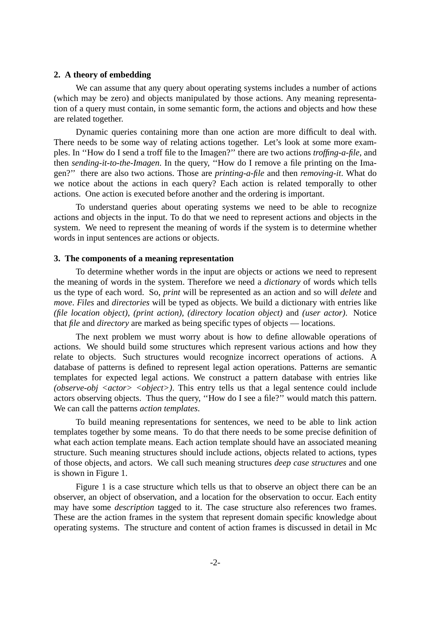#### **2. A theory of embedding**

We can assume that any query about operating systems includes a number of actions (which may be zero) and objects manipulated by those actions. Any meaning representation of a query must contain, in some semantic form, the actions and objects and how these are related together.

Dynamic queries containing more than one action are more difficult to deal with. There needs to be some way of relating actions together. Let's look at some more examples. In ''How do I send a troff file to the Imagen?'' there are two actions *troffing-a-file*, and then *sending-it-to-the-Imagen*. In the query, ''How do I remove a file printing on the Imagen?'' there are also two actions. Those are *printing-a-file* and then *removing-it*. What do we notice about the actions in each query? Each action is related temporally to other actions. One action is executed before another and the ordering is important.

To understand queries about operating systems we need to be able to recognize actions and objects in the input. To do that we need to represent actions and objects in the system. We need to represent the meaning of words if the system is to determine whether words in input sentences are actions or objects.

### **3. The components of a meaning representation**

To determine whether words in the input are objects or actions we need to represent the meaning of words in the system. Therefore we need a *dictionary* of words which tells us the type of each word. So, *print* will be represented as an action and so will *delete* and *move*. *Files* and *directories* will be typed as objects. We build a dictionary with entries like *(file location object)*, *(print action)*, *(directory location object)* and *(user actor)*. Notice that *file* and *directory* are marked as being specific types of objects — locations.

The next problem we must worry about is how to define allowable operations of actions. We should build some structures which represent various actions and how they relate to objects. Such structures would recognize incorrect operations of actions. A database of patterns is defined to represent legal action operations. Patterns are semantic templates for expected legal actions. We construct a pattern database with entries like *(observe-obj <actor> <object>)*. This entry tells us that a legal sentence could include actors observing objects. Thus the query, ''How do I see a file?'' would match this pattern. We can call the patterns *action templates*.

To build meaning representations for sentences, we need to be able to link action templates together by some means. To do that there needs to be some precise definition of what each action template means. Each action template should have an associated meaning structure. Such meaning structures should include actions, objects related to actions, types of those objects, and actors. We call such meaning structures *deep case structures* and one is shown in Figure 1.

Figure 1 is a case structure which tells us that to observe an object there can be an observer, an object of observation, and a location for the observation to occur. Each entity may have some *description* tagged to it. The case structure also references two frames. These are the action frames in the system that represent domain specific knowledge about operating systems. The structure and content of action frames is discussed in detail in Mc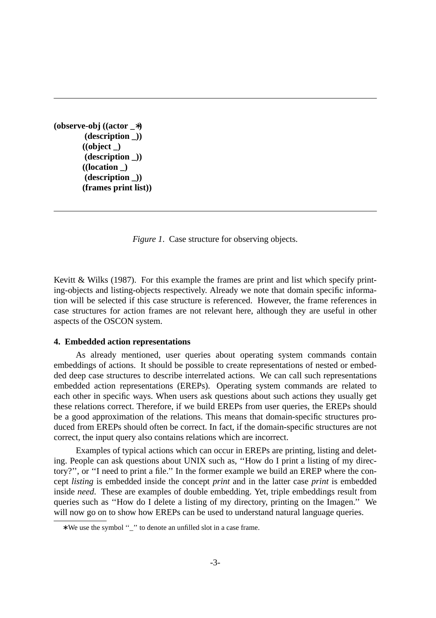**(observe-obj ((actor \_**∗**) (description \_)) ((object \_) (description \_)) ((location \_) (description \_)) (frames print list))**

*Figure 1.* Case structure for observing objects.

Kevitt & Wilks (1987). For this example the frames are print and list which specify printing-objects and listing-objects respectively. Already we note that domain specific information will be selected if this case structure is referenced. However, the frame references in case structures for action frames are not relevant here, although they are useful in other aspects of the OSCON system.

### **4. Embedded action representations**

As already mentioned, user queries about operating system commands contain embeddings of actions. It should be possible to create representations of nested or embedded deep case structures to describe interrelated actions. We can call such representations embedded action representations (EREPs). Operating system commands are related to each other in specific ways. When users ask questions about such actions they usually get these relations correct. Therefore, if we build EREPs from user queries, the EREPs should be a good approximation of the relations. This means that domain-specific structures produced from EREPs should often be correct. In fact, if the domain-specific structures are not correct, the input query also contains relations which are incorrect.

Examples of typical actions which can occur in EREPs are printing, listing and deleting. People can ask questions about UNIX such as, ''How do I print a listing of my directory?'', or ''I need to print a file.'' In the former example we build an EREP where the concept *listing* is embedded inside the concept *print* and in the latter case *print* is embedded inside *need*. These are examples of double embedding. Yet, triple embeddings result from queries such as "How do I delete a listing of my directory, printing on the Imagen." We will now go on to show how EREPs can be used to understand natural language queries.

<sup>∗</sup> We use the symbol ''\_'' to denote an unfilled slot in a case frame.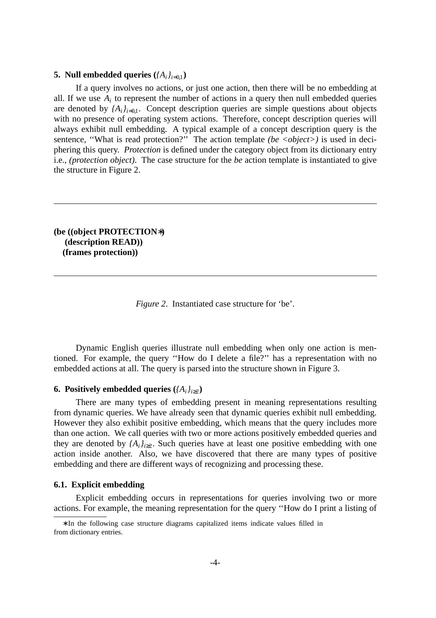## **5.** Null embedded queries  $({A_i}_{i=0,1})$

If a query involves no actions, or just one action, then there will be no embedding at all. If we use  $A_i$  to represent the number of actions in a query then null embedded queries are denoted by  $\{A_i\}_{i=0,1}$ . Concept description queries are simple questions about objects with no presence of operating system actions. Therefore, concept description queries will always exhibit null embedding. A typical example of a concept description query is the sentence, "What is read protection?" The action template *(be <object>)* is used in deciphering this query. *Protection* is defined under the category object from its dictionary entry i.e., *(protection object)*. The case structure for the *be* action template is instantiated to give the structure in Figure 2.

## **(be ((object PROTECTION**∗**) (description READ)) (frames protection))**

*Figure 2*. Instantiated case structure for 'be'.

Dynamic English queries illustrate null embedding when only one action is mentioned. For example, the query ''How do I delete a file?'' has a representation with no embedded actions at all. The query is parsed into the structure shown in Figure 3.

## **6.** Positively embedded queries  $({A_i}_{i \geq 2})$

There are many types of embedding present in meaning representations resulting from dynamic queries. We have already seen that dynamic queries exhibit null embedding. However they also exhibit positive embedding, which means that the query includes more than one action. We call queries with two or more actions positively embedded queries and they are denoted by  $\{A_i\}_{i\geq 2}$ . Such queries have at least one positive embedding with one action inside another. Also, we have discovered that there are many types of positive embedding and there are different ways of recognizing and processing these.

#### **6.1. Explicit embedding**

Explicit embedding occurs in representations for queries involving two or more actions. For example, the meaning representation for the query ''How do I print a listing of

<sup>∗</sup> In the following case structure diagrams capitalized items indicate values filled in from dictionary entries.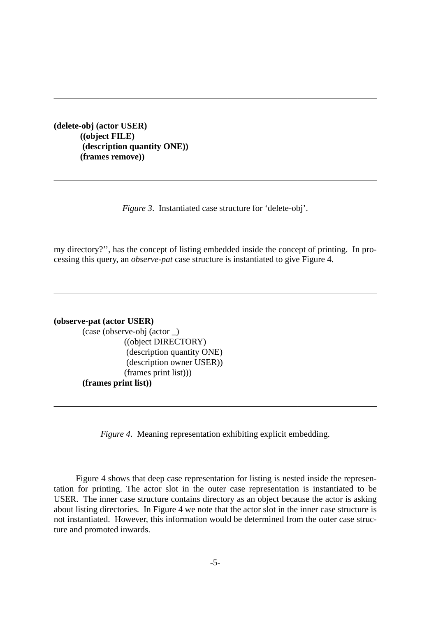**(delete-obj (actor USER) ((object FILE) (description quantity ONE)) (frames remove))**

*Figure 3*. Instantiated case structure for 'delete-obj'.

my directory?'', has the concept of listing embedded inside the concept of printing. In processing this query, an *observe-pat* case structure is instantiated to give Figure 4.

**(observe-pat (actor USER)**

(case (observe-obj (actor \_) ((object DIRECTORY) (description quantity ONE) (description owner USER)) (frames print list))) **(frames print list))**

*Figure 4*. Meaning representation exhibiting explicit embedding.

Figure 4 shows that deep case representation for listing is nested inside the representation for printing. The actor slot in the outer case representation is instantiated to be USER. The inner case structure contains directory as an object because the actor is asking about listing directories. In Figure 4 we note that the actor slot in the inner case structure is not instantiated. However, this information would be determined from the outer case structure and promoted inwards.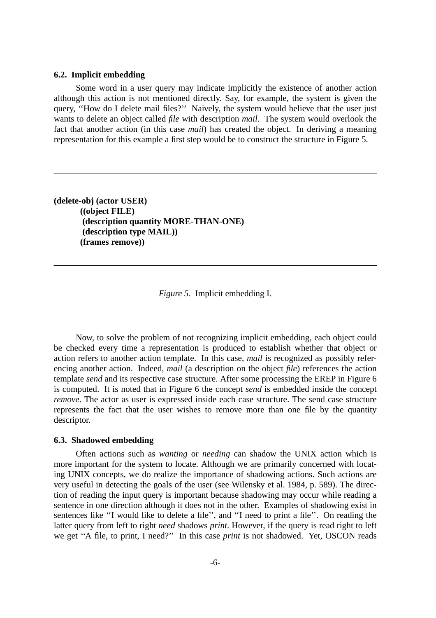### **6.2. Implicit embedding**

Some word in a user query may indicate implicitly the existence of another action although this action is not mentioned directly. Say, for example, the system is given the query, ''How do I delete mail files?'' Naively, the system would believe that the user just wants to delete an object called *file* with description *mail*. The system would overlook the fact that another action (in this case *mail*) has created the object. In deriving a meaning representation for this example a first step would be to construct the structure in Figure 5.

**(delete-obj (actor USER) ((object FILE) (description quantity MORE-THAN-ONE) (description type MAIL)) (frames remove))**

*Figure 5*. Implicit embedding I.

Now, to solve the problem of not recognizing implicit embedding, each object could be checked every time a representation is produced to establish whether that object or action refers to another action template. In this case, *mail* is recognized as possibly referencing another action. Indeed, *mail* (a description on the object *file*) references the action template *send* and its respective case structure. After some processing the EREP in Figure 6 is computed. It is noted that in Figure 6 the concept *send* is embedded inside the concept *remove*. The actor as user is expressed inside each case structure. The send case structure represents the fact that the user wishes to remove more than one file by the quantity descriptor.

### **6.3. Shadowed embedding**

Often actions such as *wanting* or *needing* can shadow the UNIX action which is more important for the system to locate. Although we are primarily concerned with locating UNIX concepts, we do realize the importance of shadowing actions. Such actions are very useful in detecting the goals of the user (see Wilensky et al. 1984, p. 589). The direction of reading the input query is important because shadowing may occur while reading a sentence in one direction although it does not in the other. Examples of shadowing exist in sentences like ''I would like to delete a file'', and ''I need to print a file''. On reading the latter query from left to right *need* shadows *print*. However, if the query is read right to left we get ''A file, to print, I need?'' In this case *print* is not shadowed. Yet, OSCON reads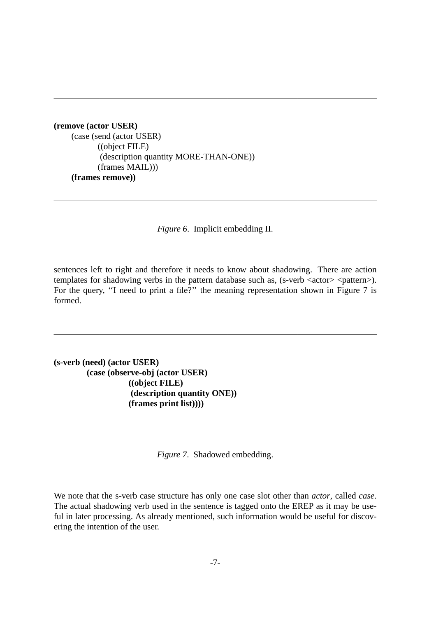**(remove (actor USER)** (case (send (actor USER) ((object FILE) (description quantity MORE-THAN-ONE)) (frames MAIL))) **(frames remove))**

*Figure 6*. Implicit embedding II.

sentences left to right and therefore it needs to know about shadowing. There are action templates for shadowing verbs in the pattern database such as, (s-verb <actor> <pattern>). For the query, "I need to print a file?" the meaning representation shown in Figure 7 is formed.

**(s-verb (need) (actor USER) (case (observe-obj (actor USER) ((object FILE) (description quantity ONE)) (frames print list))))**

*Figure 7*. Shadowed embedding.

We note that the s-verb case structure has only one case slot other than *actor*, called *case*. The actual shadowing verb used in the sentence is tagged onto the EREP as it may be useful in later processing. As already mentioned, such information would be useful for discovering the intention of the user.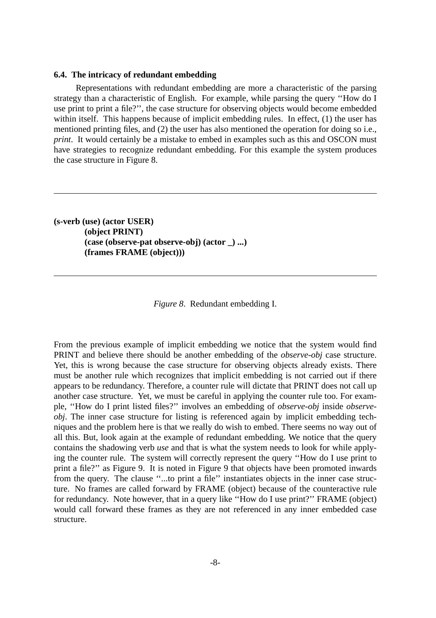#### **6.4. The intricacy of redundant embedding**

Representations with redundant embedding are more a characteristic of the parsing strategy than a characteristic of English. For example, while parsing the query ''How do I use print to print a file?'', the case structure for observing objects would become embedded within itself. This happens because of implicit embedding rules. In effect, (1) the user has mentioned printing files, and (2) the user has also mentioned the operation for doing so i.e., *print*. It would certainly be a mistake to embed in examples such as this and OSCON must have strategies to recognize redundant embedding. For this example the system produces the case structure in Figure 8.

**(s-verb (use) (actor USER) (object PRINT) (case (observe-pat observe-obj) (actor \_) ...) (frames FRAME (object)))**

*Figure 8*. Redundant embedding I.

From the previous example of implicit embedding we notice that the system would find PRINT and believe there should be another embedding of the *observe-obj* case structure. Yet, this is wrong because the case structure for observing objects already exists. There must be another rule which recognizes that implicit embedding is not carried out if there appears to be redundancy. Therefore, a counter rule will dictate that PRINT does not call up another case structure. Yet, we must be careful in applying the counter rule too. For example, "How do I print listed files?" involves an embedding of *observe-obj* inside *observeobj*. The inner case structure for listing is referenced again by implicit embedding techniques and the problem here is that we really do wish to embed. There seems no way out of all this. But, look again at the example of redundant embedding. We notice that the query contains the shadowing verb *use* and that is what the system needs to look for while applying the counter rule. The system will correctly represent the query "How do I use print to print a file?'' as Figure 9. It is noted in Figure 9 that objects have been promoted inwards from the query. The clause ''...to print a file'' instantiates objects in the inner case structure. No frames are called forward by FRAME (object) because of the counteractive rule for redundancy. Note however, that in a query like ''How do I use print?'' FRAME (object) would call forward these frames as they are not referenced in any inner embedded case structure.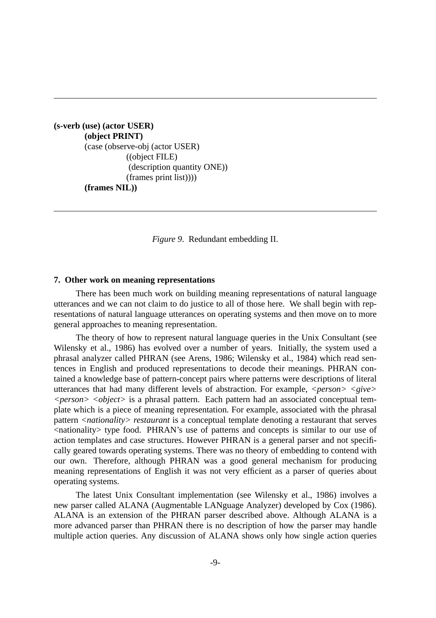**(s-verb (use) (actor USER) (object PRINT)** (case (observe-obj (actor USER) ((object FILE) (description quantity ONE)) (frames print list)))) **(frames NIL))**

*Figure 9*. Redundant embedding II.

#### **7. Other work on meaning representations**

There has been much work on building meaning representations of natural language utterances and we can not claim to do justice to all of those here. We shall begin with representations of natural language utterances on operating systems and then move on to more general approaches to meaning representation.

The theory of how to represent natural language queries in the Unix Consultant (see Wilensky et al., 1986) has evolved over a number of years. Initially, the system used a phrasal analyzer called PHRAN (see Arens, 1986; Wilensky et al., 1984) which read sentences in English and produced representations to decode their meanings. PHRAN contained a knowledge base of pattern-concept pairs where patterns were descriptions of literal utterances that had many different levels of abstraction. For example, *<person> <give> <person> <object>* is a phrasal pattern. Each pattern had an associated conceptual template which is a piece of meaning representation. For example, associated with the phrasal pattern *<nationality> restaurant* is a conceptual template denoting a restaurant that serves <nationality> type food. PHRAN's use of patterns and concepts is similar to our use of action templates and case structures. However PHRAN is a general parser and not specifically geared towards operating systems. There was no theory of embedding to contend with our own. Therefore, although PHRAN was a good general mechanism for producing meaning representations of English it was not very efficient as a parser of queries about operating systems.

The latest Unix Consultant implementation (see Wilensky et al., 1986) involves a new parser called ALANA (Augmentable LANguage Analyzer) developed by Cox (1986). ALANA is an extension of the PHRAN parser described above. Although ALANA is a more advanced parser than PHRAN there is no description of how the parser may handle multiple action queries. Any discussion of ALANA shows only how single action queries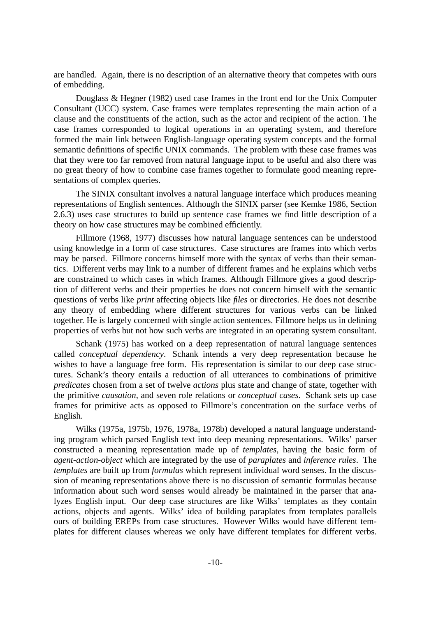are handled. Again, there is no description of an alternative theory that competes with ours of embedding.

Douglass & Hegner (1982) used case frames in the front end for the Unix Computer Consultant (UCC) system. Case frames were templates representing the main action of a clause and the constituents of the action, such as the actor and recipient of the action. The case frames corresponded to logical operations in an operating system, and therefore formed the main link between English-language operating system concepts and the formal semantic definitions of specific UNIX commands. The problem with these case frames was that they were too far removed from natural language input to be useful and also there was no great theory of how to combine case frames together to formulate good meaning representations of complex queries.

The SINIX consultant involves a natural language interface which produces meaning representations of English sentences. Although the SINIX parser (see Kemke 1986, Section 2.6.3) uses case structures to build up sentence case frames we find little description of a theory on how case structures may be combined efficiently.

Fillmore (1968, 1977) discusses how natural language sentences can be understood using knowledge in a form of case structures. Case structures are frames into which verbs may be parsed. Fillmore concerns himself more with the syntax of verbs than their semantics. Different verbs may link to a number of different frames and he explains which verbs are constrained to which cases in which frames. Although Fillmore gives a good description of different verbs and their properties he does not concern himself with the semantic questions of verbs like *print* affecting objects like *files* or directories. He does not describe any theory of embedding where different structures for various verbs can be linked together. He is largely concerned with single action sentences. Fillmore helps us in defining properties of verbs but not how such verbs are integrated in an operating system consultant.

Schank (1975) has worked on a deep representation of natural language sentences called *conceptual dependency*. Schank intends a very deep representation because he wishes to have a language free form. His representation is similar to our deep case structures. Schank's theory entails a reduction of all utterances to combinations of primitive *predicates* chosen from a set of twelve *actions* plus state and change of state, together with the primitive *causation*, and seven role relations or *conceptual cases*. Schank sets up case frames for primitive acts as opposed to Fillmore's concentration on the surface verbs of English.

Wilks (1975a, 1975b, 1976, 1978a, 1978b) developed a natural language understanding program which parsed English text into deep meaning representations. Wilks' parser constructed a meaning representation made up of *templates*, having the basic form of *agent-action-object* which are integrated by the use of *paraplates* and *inference rules*. The *templates* are built up from *formulas* which represent individual word senses. In the discussion of meaning representations above there is no discussion of semantic formulas because information about such word senses would already be maintained in the parser that analyzes English input. Our deep case structures are like Wilks' templates as they contain actions, objects and agents. Wilks' idea of building paraplates from templates parallels ours of building EREPs from case structures. However Wilks would have different templates for different clauses whereas we only have different templates for different verbs.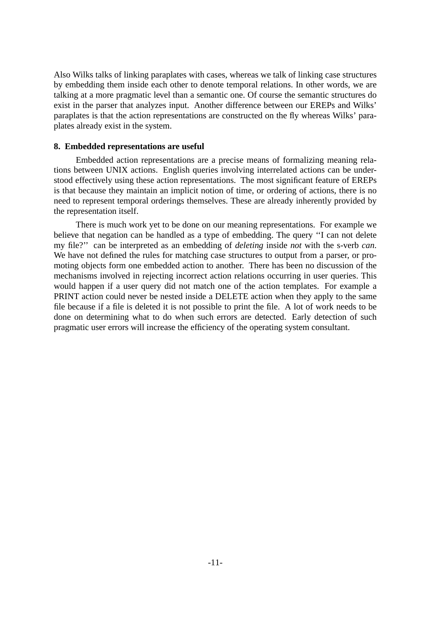Also Wilks talks of linking paraplates with cases, whereas we talk of linking case structures by embedding them inside each other to denote temporal relations. In other words, we are talking at a more pragmatic level than a semantic one. Of course the semantic structures do exist in the parser that analyzes input. Another difference between our EREPs and Wilks' paraplates is that the action representations are constructed on the fly whereas Wilks' paraplates already exist in the system.

## **8. Embedded representations are useful**

Embedded action representations are a precise means of formalizing meaning relations between UNIX actions. English queries involving interrelated actions can be understood effectively using these action representations. The most significant feature of EREPs is that because they maintain an implicit notion of time, or ordering of actions, there is no need to represent temporal orderings themselves. These are already inherently provided by the representation itself.

There is much work yet to be done on our meaning representations. For example we believe that negation can be handled as a type of embedding. The query ''I can not delete my file?'' can be interpreted as an embedding of *deleting* inside *not* with the s-verb *can*. We have not defined the rules for matching case structures to output from a parser, or promoting objects form one embedded action to another. There has been no discussion of the mechanisms involved in rejecting incorrect action relations occurring in user queries. This would happen if a user query did not match one of the action templates. For example a PRINT action could never be nested inside a DELETE action when they apply to the same file because if a file is deleted it is not possible to print the file. A lot of work needs to be done on determining what to do when such errors are detected. Early detection of such pragmatic user errors will increase the efficiency of the operating system consultant.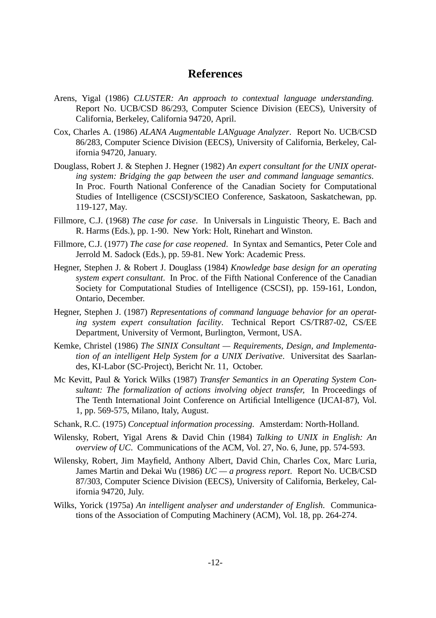# **References**

- Arens, Yigal (1986) *CLUSTER: An approach to contextual language understanding.* Report No. UCB/CSD 86/293, Computer Science Division (EECS), University of California, Berkeley, California 94720, April.
- Cox, Charles A. (1986) *ALANA Augmentable LANguage Analyzer*. Report No. UCB/CSD 86/283, Computer Science Division (EECS), University of California, Berkeley, California 94720, January.
- Douglass, Robert J. & Stephen J. Hegner (1982) *An expert consultant for the UNIX operating system: Bridging the gap between the user and command language semantics*. In Proc. Fourth National Conference of the Canadian Society for Computational Studies of Intelligence (CSCSI)/SCIEO Conference, Saskatoon, Saskatchewan, pp. 119-127, May.
- Fillmore, C.J. (1968) *The case for case*. In Universals in Linguistic Theory, E. Bach and R. Harms (Eds.), pp. 1-90. New York: Holt, Rinehart and Winston.
- Fillmore, C.J. (1977) *The case for case reopened*. In Syntax and Semantics, Peter Cole and Jerrold M. Sadock (Eds.), pp. 59-81. New York: Academic Press.
- Hegner, Stephen J. & Robert J. Douglass (1984) *Knowledge base design for an operating system expert consultant*. In Proc. of the Fifth National Conference of the Canadian Society for Computational Studies of Intelligence (CSCSI), pp. 159-161, London, Ontario, December.
- Hegner, Stephen J. (1987) *Representations of command language behavior for an operating system expert consultation facility*. Technical Report CS/TR87-02, CS/EE Department, University of Vermont, Burlington, Vermont, USA.
- Kemke, Christel (1986) *The SINIX Consultant Requirements, Design, and Implementation of an intelligent Help System for a UNIX Derivative*. Universitat des Saarlandes, KI-Labor (SC-Project), Bericht Nr. 11, October.
- Mc Kevitt, Paul & Yorick Wilks (1987) *Transfer Semantics in an Operating System Consultant: The formalization of actions involving object transfer,* In Proceedings of The Tenth International Joint Conference on Artificial Intelligence (IJCAI-87), Vol. 1, pp. 569-575, Milano, Italy, August.
- Schank, R.C. (1975) *Conceptual information processing*. Amsterdam: North-Holland.
- Wilensky, Robert, Yigal Arens & David Chin (1984) *Talking to UNIX in English: An overview of UC*. Communications of the ACM, Vol. 27, No. 6, June, pp. 574-593.
- Wilensky, Robert, Jim Mayfield, Anthony Albert, David Chin, Charles Cox, Marc Luria, James Martin and Dekai Wu (1986) *UC — a progress report*. Report No. UCB/CSD 87/303, Computer Science Division (EECS), University of California, Berkeley, California 94720, July.
- Wilks, Yorick (1975a) *An intelligent analyser and understander of English*. Communications of the Association of Computing Machinery (ACM), Vol. 18, pp. 264-274.